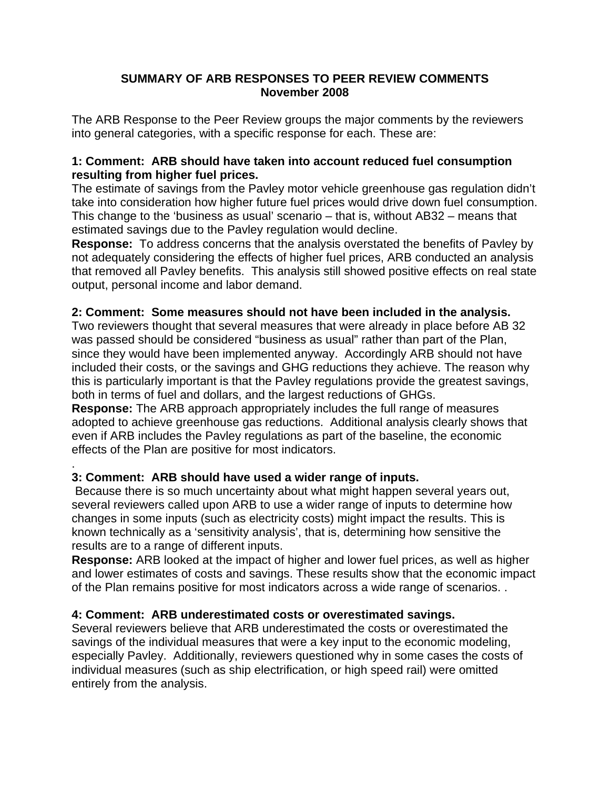### **SUMMARY OF ARB RESPONSES TO PEER REVIEW COMMENTS November 2008**

The ARB Response to the Peer Review groups the major comments by the reviewers into general categories, with a specific response for each. These are:

## **1: Comment: ARB should have taken into account reduced fuel consumption resulting from higher fuel prices.**

The estimate of savings from the Pavley motor vehicle greenhouse gas regulation didn't take into consideration how higher future fuel prices would drive down fuel consumption. This change to the 'business as usual' scenario – that is, without AB32 – means that estimated savings due to the Pavley regulation would decline.

**Response:** To address concerns that the analysis overstated the benefits of Pavley by not adequately considering the effects of higher fuel prices, ARB conducted an analysis that removed all Pavley benefits. This analysis still showed positive effects on real state output, personal income and labor demand.

## **2: Comment: Some measures should not have been included in the analysis.**

Two reviewers thought that several measures that were already in place before AB 32 was passed should be considered "business as usual" rather than part of the Plan, since they would have been implemented anyway. Accordingly ARB should not have included their costs, or the savings and GHG reductions they achieve. The reason why this is particularly important is that the Pavley regulations provide the greatest savings, both in terms of fuel and dollars, and the largest reductions of GHGs.

**Response:** The ARB approach appropriately includes the full range of measures adopted to achieve greenhouse gas reductions. Additional analysis clearly shows that even if ARB includes the Pavley regulations as part of the baseline, the economic effects of the Plan are positive for most indicators.

# **3: Comment: ARB should have used a wider range of inputs.**

.

Because there is so much uncertainty about what might happen several years out, several reviewers called upon ARB to use a wider range of inputs to determine how changes in some inputs (such as electricity costs) might impact the results. This is known technically as a 'sensitivity analysis', that is, determining how sensitive the results are to a range of different inputs.

**Response:** ARB looked at the impact of higher and lower fuel prices, as well as higher and lower estimates of costs and savings. These results show that the economic impact of the Plan remains positive for most indicators across a wide range of scenarios. .

# **4: Comment: ARB underestimated costs or overestimated savings.**

Several reviewers believe that ARB underestimated the costs or overestimated the savings of the individual measures that were a key input to the economic modeling, especially Pavley. Additionally, reviewers questioned why in some cases the costs of individual measures (such as ship electrification, or high speed rail) were omitted entirely from the analysis.